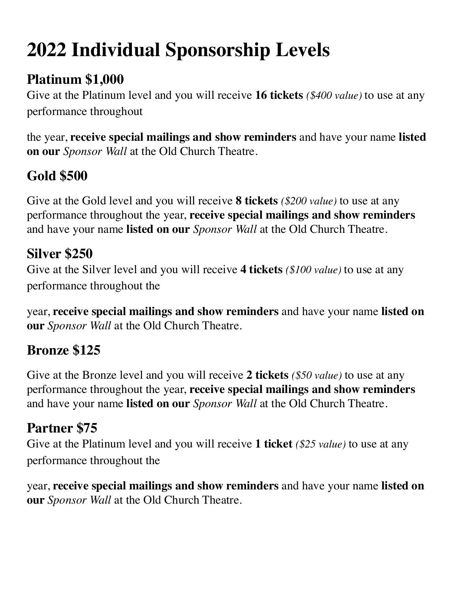# **2022 Individual Sponsorship Levels**

# **Platinum \$1,000**

Give at the Platinum level and you will receive **16 tickets** *(\$400 value)* to use at any performance throughout

the year, **receive special mailings and show reminders** and have your name **listed on our** *Sponsor Wall* at the Old Church Theatre.

# **Gold \$500**

Give at the Gold level and you will receive **8 tickets** *(\$200 value)* to use at any performance throughout the year, **receive special mailings and show reminders**  and have your name **listed on our** *Sponsor Wall* at the Old Church Theatre.

#### **Silver \$250**

Give at the Silver level and you will receive **4 tickets** *(\$100 value)* to use at any performance throughout the

year, **receive special mailings and show reminders** and have your name **listed on our** *Sponsor Wall* at the Old Church Theatre.

# **Bronze \$125**

Give at the Bronze level and you will receive **2 tickets** *(\$50 value)* to use at any performance throughout the year, **receive special mailings and show reminders**  and have your name **listed on our** *Sponsor Wall* at the Old Church Theatre.

# **Partner \$75**

Give at the Platinum level and you will receive **1 ticket** *(\$25 value)* to use at any performance throughout the

year, **receive special mailings and show reminders** and have your name **listed on our** *Sponsor Wall* at the Old Church Theatre.